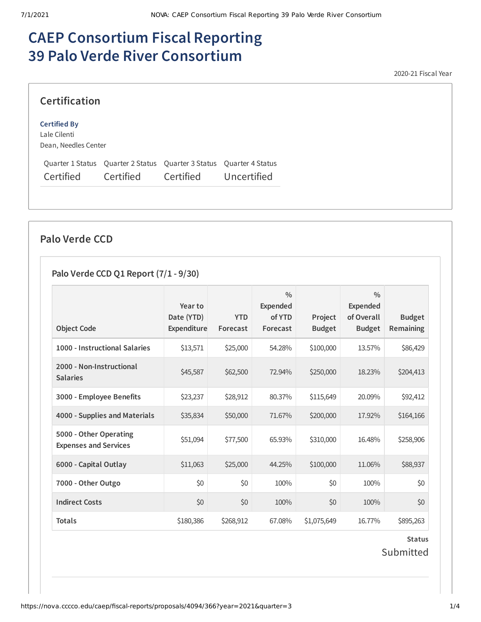# **CAEP Consortium Fiscal Reporting 39 Palo Verde River Consortium**

2020-21 Fiscal Year

#### **Certification Certified By** Lale Cilenti Dean, Needles Center Quarter 1 Status Quarter 2 Status Quarter 3 Status Quarter 4 Status Certified Certified Certified Uncertified

## **Palo Verde CCD**

## **Palo Verde CCD Q1 Report (7/1 - 9/30)**

|                                                        | Year to                          |                        | $\frac{0}{0}$<br><b>Expended</b> |                          | $\frac{0}{0}$<br><b>Expended</b> |                                   |
|--------------------------------------------------------|----------------------------------|------------------------|----------------------------------|--------------------------|----------------------------------|-----------------------------------|
| <b>Object Code</b>                                     | Date (YTD)<br><b>Expenditure</b> | <b>YTD</b><br>Forecast | of YTD<br>Forecast               | Project<br><b>Budget</b> | of Overall<br><b>Budget</b>      | <b>Budget</b><br><b>Remaining</b> |
| 1000 - Instructional Salaries                          | \$13,571                         | \$25,000               | 54.28%                           | \$100,000                | 13.57%                           | \$86,429                          |
| 2000 - Non-Instructional<br><b>Salaries</b>            | \$45,587                         | \$62,500               | 72.94%                           | \$250,000                | 18.23%                           | \$204,413                         |
| 3000 - Employee Benefits                               | \$23,237                         | \$28,912               | 80.37%                           | \$115,649                | 20.09%                           | \$92,412                          |
| 4000 - Supplies and Materials                          | \$35,834                         | \$50,000               | 71.67%                           | \$200,000                | 17.92%                           | \$164,166                         |
| 5000 - Other Operating<br><b>Expenses and Services</b> | \$51,094                         | \$77,500               | 65.93%                           | \$310,000                | 16.48%                           | \$258,906                         |
| 6000 - Capital Outlay                                  | \$11,063                         | \$25,000               | 44.25%                           | \$100,000                | 11.06%                           | \$88,937                          |
| 7000 - Other Outgo                                     | \$0                              | \$0                    | 100%                             | \$0                      | 100%                             | \$0                               |
| <b>Indirect Costs</b>                                  | \$0                              | \$0                    | 100%                             | \$0                      | 100%                             | \$0                               |
| <b>Totals</b>                                          | \$180,386                        | \$268,912              | 67.08%                           | \$1,075,649              | 16.77%                           | \$895,263                         |

**Status** Submitted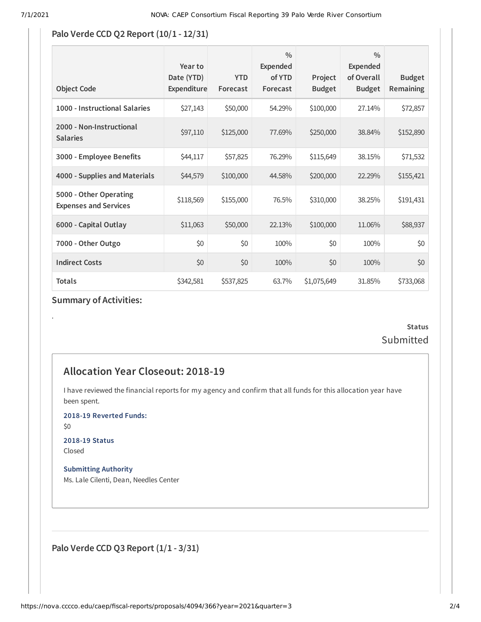#### **Palo Verde CCD Q2 Report (10/1 - 12/31)**

| <b>Object Code</b>                                     | Year to<br>Date (YTD)<br><b>Expenditure</b> | <b>YTD</b><br>Forecast | $\frac{0}{0}$<br><b>Expended</b><br>of YTD<br>Forecast | Project<br><b>Budget</b> | $\frac{0}{0}$<br><b>Expended</b><br>of Overall<br><b>Budget</b> | <b>Budget</b><br>Remaining |
|--------------------------------------------------------|---------------------------------------------|------------------------|--------------------------------------------------------|--------------------------|-----------------------------------------------------------------|----------------------------|
| 1000 - Instructional Salaries                          | \$27,143                                    | \$50,000               | 54.29%                                                 | \$100,000                | 27.14%                                                          | \$72,857                   |
| 2000 - Non-Instructional<br><b>Salaries</b>            | \$97,110                                    | \$125,000              | 77.69%                                                 | \$250,000                | 38.84%                                                          | \$152,890                  |
| 3000 - Employee Benefits                               | \$44,117                                    | \$57,825               | 76.29%                                                 | \$115,649                | 38.15%                                                          | \$71,532                   |
| 4000 - Supplies and Materials                          | \$44,579                                    | \$100,000              | 44.58%                                                 | \$200,000                | 22.29%                                                          | \$155,421                  |
| 5000 - Other Operating<br><b>Expenses and Services</b> | \$118,569                                   | \$155,000              | 76.5%                                                  | \$310,000                | 38.25%                                                          | \$191,431                  |
| 6000 - Capital Outlay                                  | \$11,063                                    | \$50,000               | 22.13%                                                 | \$100,000                | 11.06%                                                          | \$88,937                   |
| 7000 - Other Outgo                                     | \$0                                         | \$0                    | 100%                                                   | \$0                      | 100%                                                            | \$0                        |
| <b>Indirect Costs</b>                                  | \$0                                         | \$0                    | 100%                                                   | \$0                      | 100%                                                            | \$0                        |
| <b>Totals</b>                                          | \$342,581                                   | \$537,825              | 63.7%                                                  | \$1,075,649              | 31.85%                                                          | \$733,068                  |

### **Summary of Activities:**

## **Status** Submitted

## **Allocation Year Closeout: 2018-19**

I have reviewed the financial reports for my agency and confirm that all funds for this allocation year have been spent.

**2018-19 Reverted Funds:**

\$0

.

**2018-19 Status** Closed

**Submitting Authority** Ms. Lale Cilenti, Dean, Needles Center

**Palo Verde CCD Q3 Report (1/1 - 3/31)**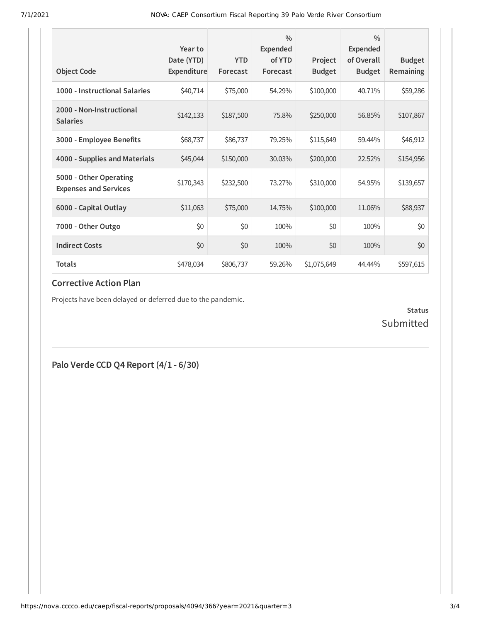| <b>Object Code</b>                                     | Year to<br>Date (YTD)<br>Expenditure | <b>YTD</b><br>Forecast | $\frac{0}{0}$<br><b>Expended</b><br>of YTD<br>Forecast | Project<br><b>Budget</b> | $\frac{0}{0}$<br>Expended<br>of Overall<br><b>Budget</b> | <b>Budget</b><br>Remaining |
|--------------------------------------------------------|--------------------------------------|------------------------|--------------------------------------------------------|--------------------------|----------------------------------------------------------|----------------------------|
| 1000 - Instructional Salaries                          | \$40,714                             | \$75,000               | 54.29%                                                 | \$100,000                | 40.71%                                                   | \$59,286                   |
| 2000 - Non-Instructional<br><b>Salaries</b>            | \$142,133                            | \$187,500              | 75.8%                                                  | \$250,000                | 56.85%                                                   | \$107,867                  |
| 3000 - Employee Benefits                               | \$68,737                             | \$86,737               | 79.25%                                                 | \$115,649                | 59.44%                                                   | \$46,912                   |
| 4000 - Supplies and Materials                          | \$45,044                             | \$150,000              | 30.03%                                                 | \$200,000                | 22.52%                                                   | \$154,956                  |
| 5000 - Other Operating<br><b>Expenses and Services</b> | \$170,343                            | \$232,500              | 73.27%                                                 | \$310,000                | 54.95%                                                   | \$139,657                  |
| 6000 - Capital Outlay                                  | \$11,063                             | \$75,000               | 14.75%                                                 | \$100,000                | 11.06%                                                   | \$88,937                   |
| 7000 - Other Outgo                                     | \$0                                  | \$0                    | 100%                                                   | \$0                      | 100%                                                     | \$0                        |
| <b>Indirect Costs</b>                                  | \$0                                  | \$0                    | 100%                                                   | \$0                      | 100%                                                     | \$0                        |
| <b>Totals</b>                                          | \$478,034                            | \$806,737              | 59.26%                                                 | \$1,075,649              | 44.44%                                                   | \$597,615                  |

#### **Corrective Action Plan**

Projects have been delayed or deferred due to the pandemic.

**Status** Submitted

**Palo Verde CCD Q4 Report (4/1 - 6/30)**